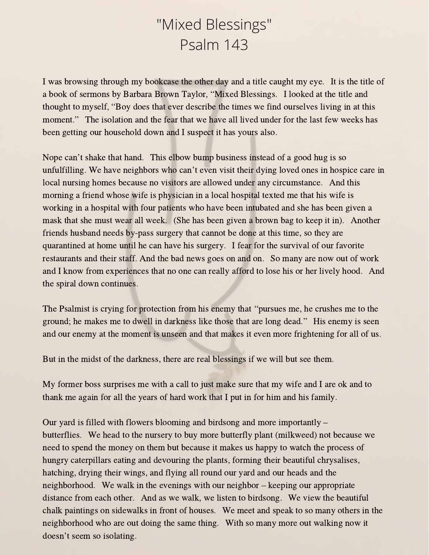## "Mixed Blessings" Psalm 143

I was browsing through my bookcase the other day and a title caught my eye. It is the title of I was browsing through my bookcase the other day and a title caught my eye. It is the titl<br>a book of sermons by Barbara Brown Taylor, "Mixed Blessings. I looked at the title and a book of sermons by Barbara Brown Taylor, "Mixed Blessings. I looked at the title and<br>thought to myself, "Boy does that ever describe the times we find ourselves living in at this moment." The isolation and the fear that we have all lived under for the last few weeks has been getting our household down and I suspect it has yours also.

Nope can't shake that hand. This elbow bump business instead of <sup>a</sup> good hug is so unfulfilling. We have neighbors who can't even visit their dying loved ones in hospice care in local nursing homes because no visitors are allowed under any circumstance. And this morning a friend whose wife is physician in a local hospital texted me that his wife is working in a hospital with four patients who have been intubated and she has been given a mask that she must wear all week. (She has been given a brown bag to keep it in). Another friends husband needs by-pass surgery that cannot be done at this time, so they are quarantined at home until he can have his surgery. I fear for the survival of our favorite restaurants and their staff. And the bad news goes on and on. So many are now out of work and I know from experiences that no one can really afford to lose his or her lively hood. And the spiral down continues.

The Psalmist is crying for protection from his enemy that "pursues me, he crushes me to the ground; he makes me to dwell in darkness like those that are long dead." His enemy is seen and our enemy at the moment is unseen and that makes it even more frightening for all of us.

But in the midst of the darkness, there are real blessings if we will but see them.

My former boss surprises me with a call to just make sure that my wife and I are ok and to thank me again for all the years of hard work that I put in for him and his family.

Our yard is filled with flowers blooming and birdsong and more importantly – butterflies. We head to the nursery to buy more butterfly plant (milkweed) not because we need to spend the money on them but because it makes us happy to watch the process of hungry caterpillars eating and devouring the plants, forming their beautiful chrysalises, hatching, drying their wings, and flying all round our yard and our heads and the neighborhood. We walk in the evenings with our neighbor – keeping our appropriate distance from each other. And as we walk, we listen to birdsong. We view the beautiful chalk paintings on sidewalks in front of houses. We meet and speak to so many others in the neighborhood who are out doing the same thing. With so many more out walking now it doesn't seem so isolating.